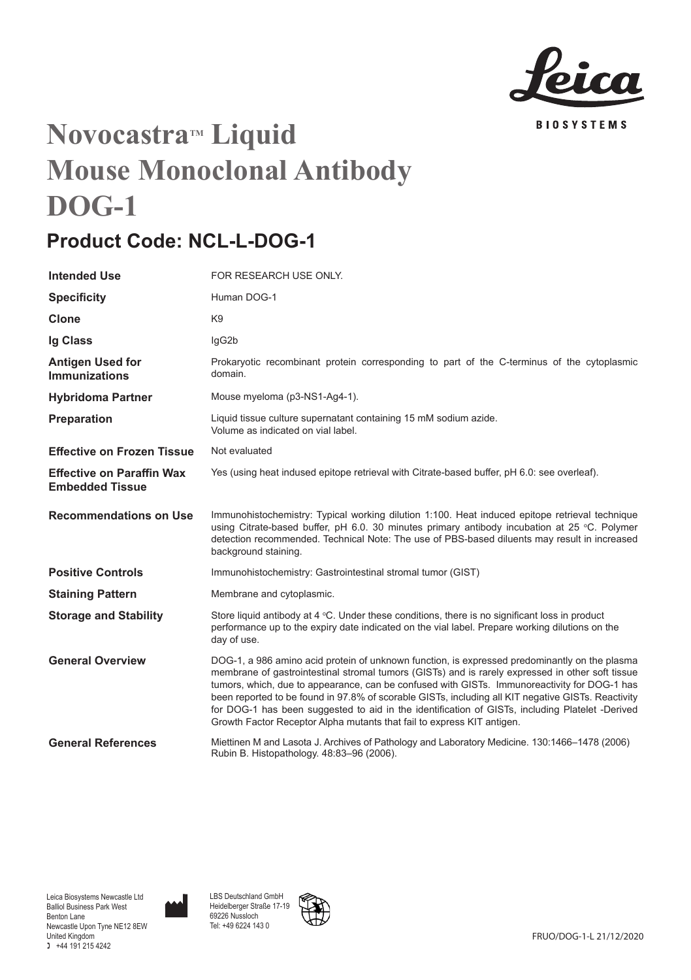

# **Novocastra<sup>M</sup>** Liquid **Mouse Monoclonal Antibody DOG-1**

## **Product Code: NCL-L-DOG-1**

| <b>Intended Use</b>                                        | FOR RESEARCH USE ONLY.                                                                                                                                                                                                                                                                                                                                                                                                                                                                                                                                                               |
|------------------------------------------------------------|--------------------------------------------------------------------------------------------------------------------------------------------------------------------------------------------------------------------------------------------------------------------------------------------------------------------------------------------------------------------------------------------------------------------------------------------------------------------------------------------------------------------------------------------------------------------------------------|
| <b>Specificity</b>                                         | Human DOG-1                                                                                                                                                                                                                                                                                                                                                                                                                                                                                                                                                                          |
| Clone                                                      | K9                                                                                                                                                                                                                                                                                                                                                                                                                                                                                                                                                                                   |
| Ig Class                                                   | lgG2b                                                                                                                                                                                                                                                                                                                                                                                                                                                                                                                                                                                |
| Antigen Used for<br><b>Immunizations</b>                   | Prokaryotic recombinant protein corresponding to part of the C-terminus of the cytoplasmic<br>domain.                                                                                                                                                                                                                                                                                                                                                                                                                                                                                |
| <b>Hybridoma Partner</b>                                   | Mouse myeloma (p3-NS1-Ag4-1).                                                                                                                                                                                                                                                                                                                                                                                                                                                                                                                                                        |
| Preparation                                                | Liquid tissue culture supernatant containing 15 mM sodium azide.<br>Volume as indicated on vial label.                                                                                                                                                                                                                                                                                                                                                                                                                                                                               |
| <b>Effective on Frozen Tissue</b>                          | Not evaluated                                                                                                                                                                                                                                                                                                                                                                                                                                                                                                                                                                        |
| <b>Effective on Paraffin Wax</b><br><b>Embedded Tissue</b> | Yes (using heat indused epitope retrieval with Citrate-based buffer, pH 6.0: see overleaf).                                                                                                                                                                                                                                                                                                                                                                                                                                                                                          |
| <b>Recommendations on Use</b>                              | Immunohistochemistry: Typical working dilution 1:100. Heat induced epitope retrieval technique<br>using Citrate-based buffer, pH 6.0. 30 minutes primary antibody incubation at 25 °C. Polymer<br>detection recommended. Technical Note: The use of PBS-based diluents may result in increased<br>background staining.                                                                                                                                                                                                                                                               |
| <b>Positive Controls</b>                                   | Immunohistochemistry: Gastrointestinal stromal tumor (GIST)                                                                                                                                                                                                                                                                                                                                                                                                                                                                                                                          |
| <b>Staining Pattern</b>                                    | Membrane and cytoplasmic.                                                                                                                                                                                                                                                                                                                                                                                                                                                                                                                                                            |
| <b>Storage and Stability</b>                               | Store liquid antibody at $4 \degree C$ . Under these conditions, there is no significant loss in product<br>performance up to the expiry date indicated on the vial label. Prepare working dilutions on the<br>day of use.                                                                                                                                                                                                                                                                                                                                                           |
| <b>General Overview</b>                                    | DOG-1, a 986 amino acid protein of unknown function, is expressed predominantly on the plasma<br>membrane of gastrointestinal stromal tumors (GISTs) and is rarely expressed in other soft tissue<br>tumors, which, due to appearance, can be confused with GISTs. Immunoreactivity for DOG-1 has<br>been reported to be found in 97.8% of scorable GISTs, including all KIT negative GISTs. Reactivity<br>for DOG-1 has been suggested to aid in the identification of GISTs, including Platelet -Derived<br>Growth Factor Receptor Alpha mutants that fail to express KIT antigen. |
| <b>General References</b>                                  | Miettinen M and Lasota J. Archives of Pathology and Laboratory Medicine. 130:1466-1478 (2006)<br>Rubin B. Histopathology. 48:83-96 (2006).                                                                                                                                                                                                                                                                                                                                                                                                                                           |